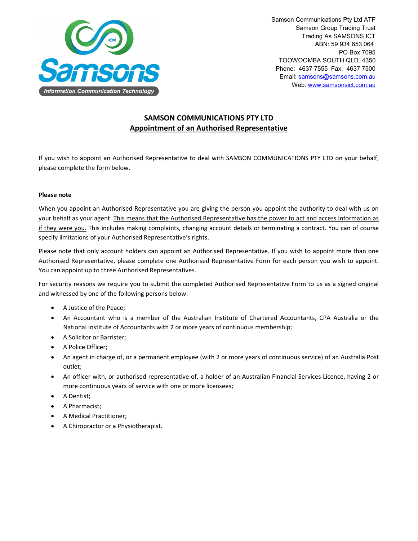

Samson Communications Pty Ltd ATF Samson Group Trading Trust Trading As SAMSONS ICT ABN: 59 934 653 064 PO Box 7095 TOOWOOMBA SOUTH QLD. 4350 Phone: 4637 7555 Fax: 4637 7500 Email: [samsons@samsons.com.au](mailto:samsons@samsons.com.au) Web: [www.samsonsict.com.au](http://www.samsonsict.com.au/)

# **SAMSON COMMUNICATIONS PTY LTD Appointment of an Authorised Representative**

If you wish to appoint an Authorised Representative to deal with SAMSON COMMUNICATIONS PTY LTD on your behalf, please complete the form below.

## **Please note**

When you appoint an Authorised Representative you are giving the person you appoint the authority to deal with us on your behalf as your agent. This means that the Authorised Representative has the power to act and access information as if they were you. This includes making complaints, changing account details or terminating a contract. You can of course specify limitations of your Authorised Representative's rights.

Please note that only account holders can appoint an Authorised Representative. If you wish to appoint more than one Authorised Representative, please complete one Authorised Representative Form for each person you wish to appoint. You can appoint up to three Authorised Representatives.

For security reasons we require you to submit the completed Authorised Representative Form to us as a signed original and witnessed by one of the following persons below:

- A Justice of the Peace;
- An Accountant who is a member of the Australian Institute of Chartered Accountants, CPA Australia or the National Institute of Accountants with 2 or more years of continuous membership;
- A Solicitor or Barrister;
- A Police Officer;
- An agent in charge of, or a permanent employee (with 2 or more years of continuous service) of an Australia Post outlet;
- An officer with, or authorised representative of, a holder of an Australian Financial Services Licence, having 2 or more continuous years of service with one or more licensees;
- A Dentist;
- A Pharmacist;
- A Medical Practitioner;
- A Chiropractor or a Physiotherapist.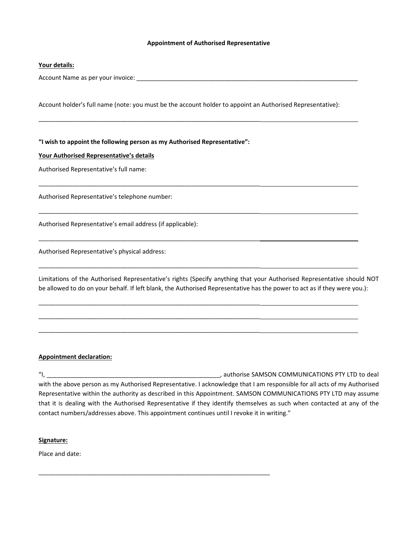#### **Appointment of Authorised Representative**

#### **Your details:**

Account Name as per your invoice: \_\_\_\_\_\_\_\_\_\_\_\_\_\_\_\_\_\_\_\_\_\_\_\_\_\_\_\_\_\_\_\_\_\_\_\_\_\_\_\_\_\_\_\_\_\_\_\_\_\_\_\_\_\_\_\_\_\_\_\_\_\_\_\_\_

Account holder's full name (note: you must be the account holder to appoint an Authorised Representative):

**"I wish to appoint the following person as my Authorised Representative":**

\_\_\_\_\_\_\_\_\_\_\_\_\_\_\_\_\_\_\_\_\_\_\_\_\_\_\_\_\_\_\_\_\_\_\_\_\_\_\_\_\_\_\_\_\_\_\_\_\_\_\_\_\_\_\_\_\_\_\_\_\_\_\_\_\_

\_\_\_\_\_\_\_\_\_\_\_\_\_\_\_\_\_\_\_\_\_\_\_\_\_\_\_\_\_\_\_\_\_\_\_\_\_\_\_\_\_\_\_\_\_\_\_\_\_\_\_\_\_\_\_\_\_\_\_\_\_\_\_\_\_

\_\_\_\_\_\_\_\_\_\_\_\_\_\_\_\_\_\_\_\_\_\_\_\_\_\_\_\_\_\_\_\_\_\_\_\_\_\_\_\_\_\_\_\_\_\_\_\_\_\_\_\_\_\_\_\_\_\_\_\_\_\_\_\_\_

\_\_\_\_\_\_\_\_\_\_\_\_\_\_\_\_\_\_\_\_\_\_\_\_\_\_\_\_\_\_\_\_\_\_\_\_\_\_\_\_\_\_\_\_\_\_\_\_\_\_\_\_\_\_\_\_\_\_\_\_\_\_\_\_\_

\_\_\_\_\_\_\_\_\_\_\_\_\_\_\_\_\_\_\_\_\_\_\_\_\_\_\_\_\_\_\_\_\_\_\_\_\_\_\_\_\_\_\_\_\_\_\_\_\_\_\_\_\_\_\_\_\_\_\_\_\_\_\_\_\_

\_\_\_\_\_\_\_\_\_\_\_\_\_\_\_\_\_\_\_\_\_\_\_\_\_\_\_\_\_\_\_\_\_\_\_\_\_\_\_\_\_\_\_\_\_\_\_\_\_\_\_\_\_\_\_\_\_\_\_\_\_\_\_\_\_

\_\_\_\_\_\_\_\_\_\_\_\_\_\_\_\_\_\_\_\_\_\_\_\_\_\_\_\_\_\_\_\_\_\_\_\_\_\_\_\_\_\_\_\_\_\_\_\_\_\_\_\_\_\_\_\_\_\_\_\_\_\_\_\_\_

\_\_\_\_\_\_\_\_\_\_\_\_\_\_\_\_\_\_\_\_\_\_\_\_\_\_\_\_\_\_\_\_\_\_\_\_\_\_\_\_\_\_\_\_\_\_\_\_\_\_\_\_\_\_\_\_\_\_\_\_\_\_\_\_\_

\_\_\_\_\_\_\_\_\_\_\_\_\_\_\_\_\_\_\_\_\_\_\_\_\_\_\_\_\_\_\_\_\_\_\_\_\_\_\_\_\_\_\_\_\_\_\_\_\_\_\_\_\_\_\_\_\_\_\_\_\_\_\_\_\_\_\_\_

#### **Your Authorised Representative's details**

Authorised Representative's full name:

Authorised Representative's telephone number:

Authorised Representative's email address (if applicable):

Authorised Representative's physical address:

Limitations of the Authorised Representative's rights (Specify anything that your Authorised Representative should NOT be allowed to do on your behalf. If left blank, the Authorised Representative has the power to act as if they were you.):

## **Appointment declaration:**

"I, \_\_\_\_\_\_\_\_\_\_\_\_\_\_\_\_\_\_\_\_\_\_\_\_\_\_\_\_\_\_\_\_\_\_\_\_\_\_\_\_\_\_\_\_\_\_\_\_\_\_\_, authorise SAMSON COMMUNICATIONS PTY LTD to deal with the above person as my Authorised Representative. I acknowledge that I am responsible for all acts of my Authorised Representative within the authority as described in this Appointment. SAMSON COMMUNICATIONS PTY LTD may assume that it is dealing with the Authorised Representative if they identify themselves as such when contacted at any of the contact numbers/addresses above. This appointment continues until I revoke it in writing."

#### **Signature:**

Place and date: